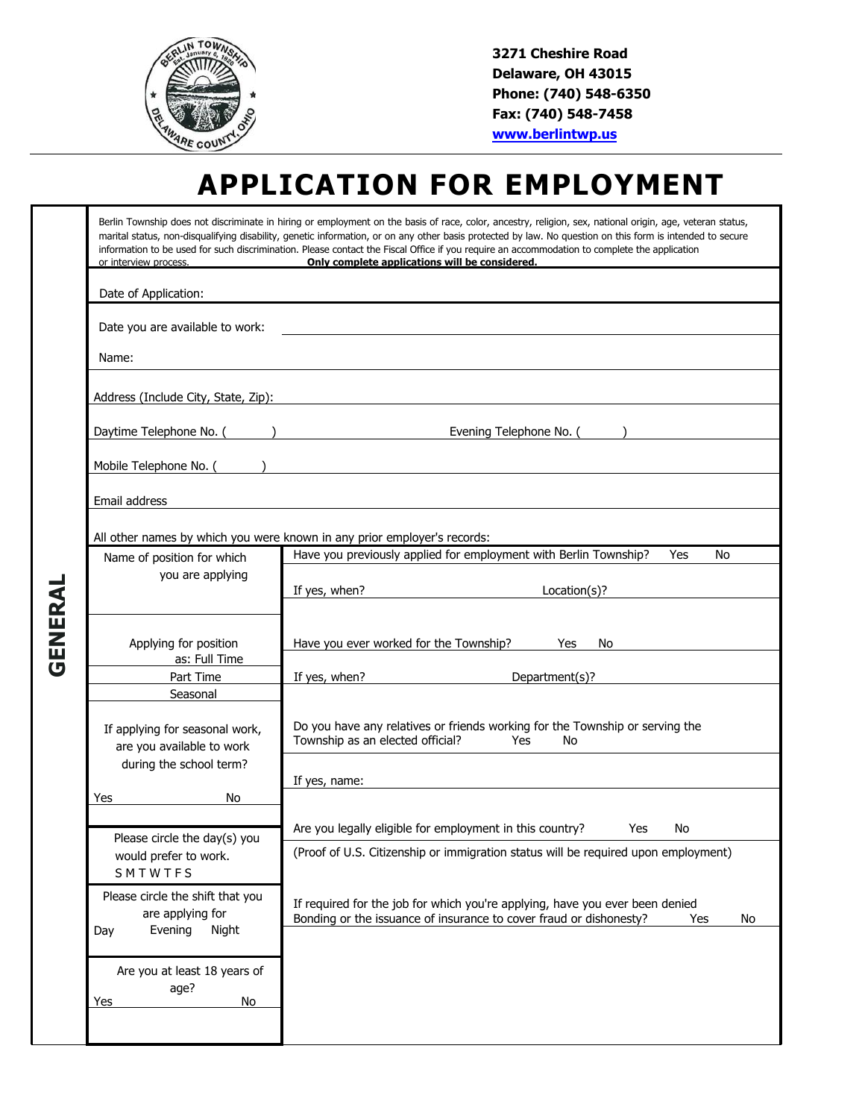

**3271 Cheshire Road Delaware, OH 43015 Phone: (740) 548-6350 Fax: (740) 548-7458 www.berlintwp.us**

## **APPLICATION FOR EMPLOYMENT**

| or interview process.                                                           | Only complete applications will be considered.                                                                                                                  |
|---------------------------------------------------------------------------------|-----------------------------------------------------------------------------------------------------------------------------------------------------------------|
| Date of Application:                                                            |                                                                                                                                                                 |
| Date you are available to work:                                                 | <u> 1980 - Johann John Stone, markin f</u>                                                                                                                      |
| Name:                                                                           |                                                                                                                                                                 |
| Address (Include City, State, Zip):                                             | <u> 1989 - Johann Stoff, deutscher Stoff, der Stoff, der Stoff, der Stoff, der Stoff, der Stoff, der Stoff, der S</u>                                           |
| Daytime Telephone No. ( )                                                       | Evening Telephone No. ( )                                                                                                                                       |
|                                                                                 |                                                                                                                                                                 |
| Email address                                                                   |                                                                                                                                                                 |
|                                                                                 | All other names by which you were known in any prior employer's records:                                                                                        |
| Name of position for which                                                      | Have you previously applied for employment with Berlin Township?<br>Yes<br>No                                                                                   |
| you are applying                                                                | If yes, when?<br>Location(s)?                                                                                                                                   |
| Applying for position<br>as: Full Time                                          | Have you ever worked for the Township?<br>Yes<br>No                                                                                                             |
| Part Time                                                                       | Department(s)?<br>If yes, when?                                                                                                                                 |
| Seasonal                                                                        |                                                                                                                                                                 |
| If applying for seasonal work,<br>are you available to work                     | Do you have any relatives or friends working for the Township or serving the<br>Township as an elected official?<br>Yes<br>No                                   |
| during the school term?                                                         |                                                                                                                                                                 |
| No<br>Yes                                                                       | If yes, name:                                                                                                                                                   |
| Please circle the day(s) you                                                    | Are you legally eligible for employment in this country?<br>Yes<br>No                                                                                           |
|                                                                                 | (Proof of U.S. Citizenship or immigration status will be required upon employment)                                                                              |
| would prefer to work.<br>SMTWTFS                                                |                                                                                                                                                                 |
| Please circle the shift that you<br>are applying for<br>Evening<br>Night<br>Day | If required for the job for which you're applying, have you ever been denied<br>Bonding or the issuance of insurance to cover fraud or dishonesty?<br>Yes<br>No |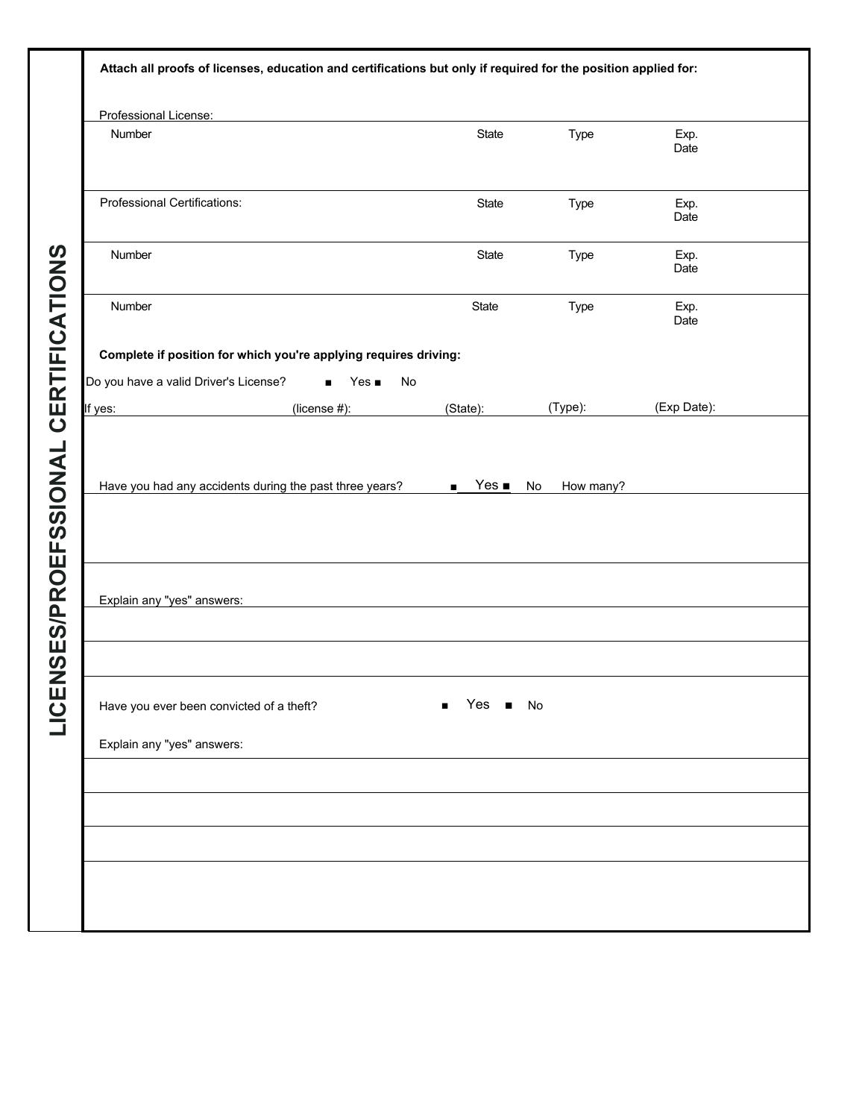| Professional License:                 |                                                                  |          |         |              |
|---------------------------------------|------------------------------------------------------------------|----------|---------|--------------|
| Number                                |                                                                  | State    | Type    | Exp.<br>Date |
| Professional Certifications:          |                                                                  | State    | Type    | Exp.<br>Date |
| Number                                |                                                                  | State    | Type    | Exp.<br>Date |
| Number                                |                                                                  | State    | Type    | Exp.<br>Date |
|                                       | Complete if position for which you're applying requires driving: |          |         |              |
| Do you have a valid Driver's License? | $Yes \blacksquare$<br>$\blacksquare$                             | No       |         |              |
| If yes:                               | (license #):                                                     | (State): | (Type): | (Exp Date):  |
| Explain any "yes" answers:            |                                                                  |          |         |              |
| Explain any "yes" answers:            | Have you ever been convicted of a theft?                         | Yes      | No      |              |
|                                       |                                                                  |          |         |              |
|                                       |                                                                  |          |         |              |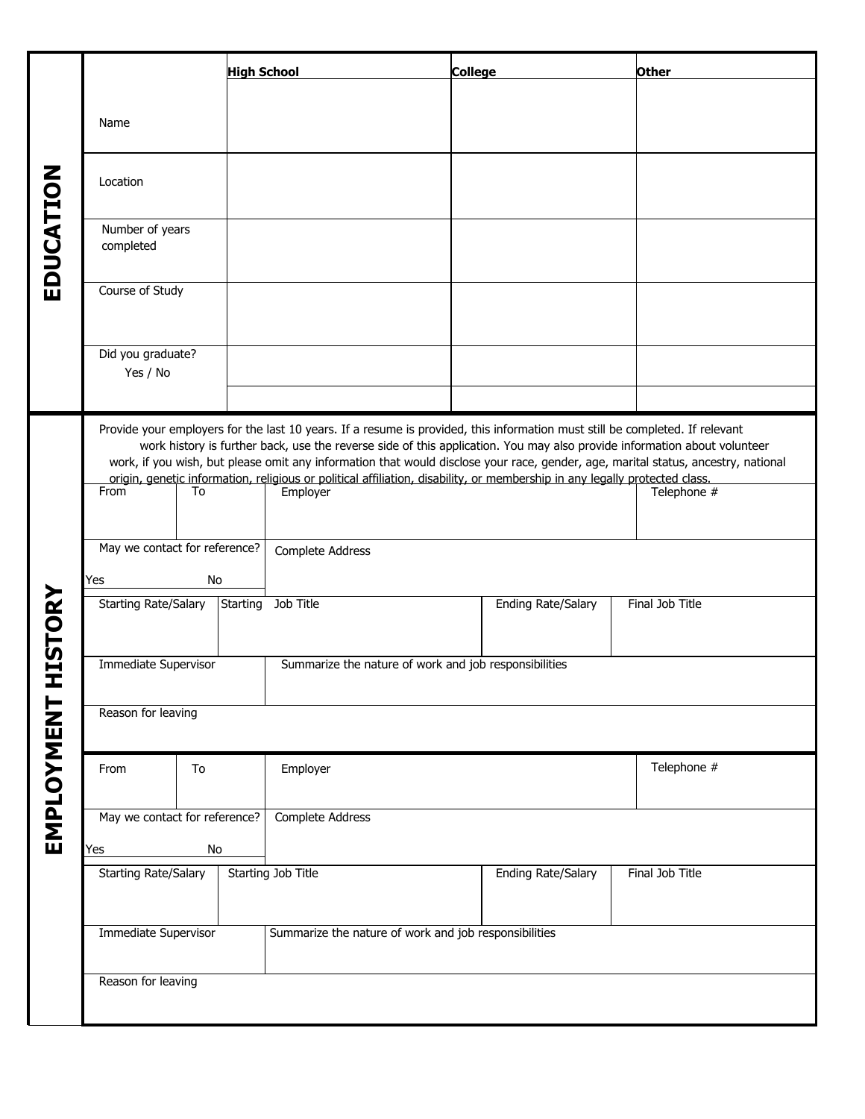|                |                                            | <b>High School</b>                                                                                                                                                                                                                                                                                                                                                                                                                                                                                                                      | <b>College</b>            | Other           |
|----------------|--------------------------------------------|-----------------------------------------------------------------------------------------------------------------------------------------------------------------------------------------------------------------------------------------------------------------------------------------------------------------------------------------------------------------------------------------------------------------------------------------------------------------------------------------------------------------------------------------|---------------------------|-----------------|
|                | Name                                       |                                                                                                                                                                                                                                                                                                                                                                                                                                                                                                                                         |                           |                 |
|                | Location                                   |                                                                                                                                                                                                                                                                                                                                                                                                                                                                                                                                         |                           |                 |
| EDUCATION      | Number of years<br>completed               |                                                                                                                                                                                                                                                                                                                                                                                                                                                                                                                                         |                           |                 |
|                | Course of Study                            |                                                                                                                                                                                                                                                                                                                                                                                                                                                                                                                                         |                           |                 |
|                | Did you graduate?<br>Yes / No              |                                                                                                                                                                                                                                                                                                                                                                                                                                                                                                                                         |                           |                 |
|                | From<br>To                                 | Provide your employers for the last 10 years. If a resume is provided, this information must still be completed. If relevant<br>work history is further back, use the reverse side of this application. You may also provide information about volunteer<br>work, if you wish, but please omit any information that would disclose your race, gender, age, marital status, ancestry, national<br>origin, genetic information, religious or political affiliation, disability, or membership in any legally protected class.<br>Employer |                           | Telephone #     |
|                | May we contact for reference?<br>No<br>Yes | Complete Address                                                                                                                                                                                                                                                                                                                                                                                                                                                                                                                        |                           |                 |
| <b>HISTORY</b> | <b>Starting Rate/Salary</b>                | Starting<br>Job Title                                                                                                                                                                                                                                                                                                                                                                                                                                                                                                                   | Ending Rate/Salary        | Final Job Title |
|                | Immediate Supervisor                       | Summarize the nature of work and job responsibilities                                                                                                                                                                                                                                                                                                                                                                                                                                                                                   |                           |                 |
| EMPLOYMENT     | Reason for leaving                         |                                                                                                                                                                                                                                                                                                                                                                                                                                                                                                                                         |                           |                 |
|                | To<br>From                                 | Employer                                                                                                                                                                                                                                                                                                                                                                                                                                                                                                                                |                           | Telephone #     |
|                | May we contact for reference?<br>No<br>Yes | Complete Address                                                                                                                                                                                                                                                                                                                                                                                                                                                                                                                        |                           |                 |
|                | <b>Starting Rate/Salary</b>                | Starting Job Title                                                                                                                                                                                                                                                                                                                                                                                                                                                                                                                      | <b>Ending Rate/Salary</b> | Final Job Title |
|                | <b>Immediate Supervisor</b>                | Summarize the nature of work and job responsibilities                                                                                                                                                                                                                                                                                                                                                                                                                                                                                   |                           |                 |
|                | Reason for leaving                         |                                                                                                                                                                                                                                                                                                                                                                                                                                                                                                                                         |                           |                 |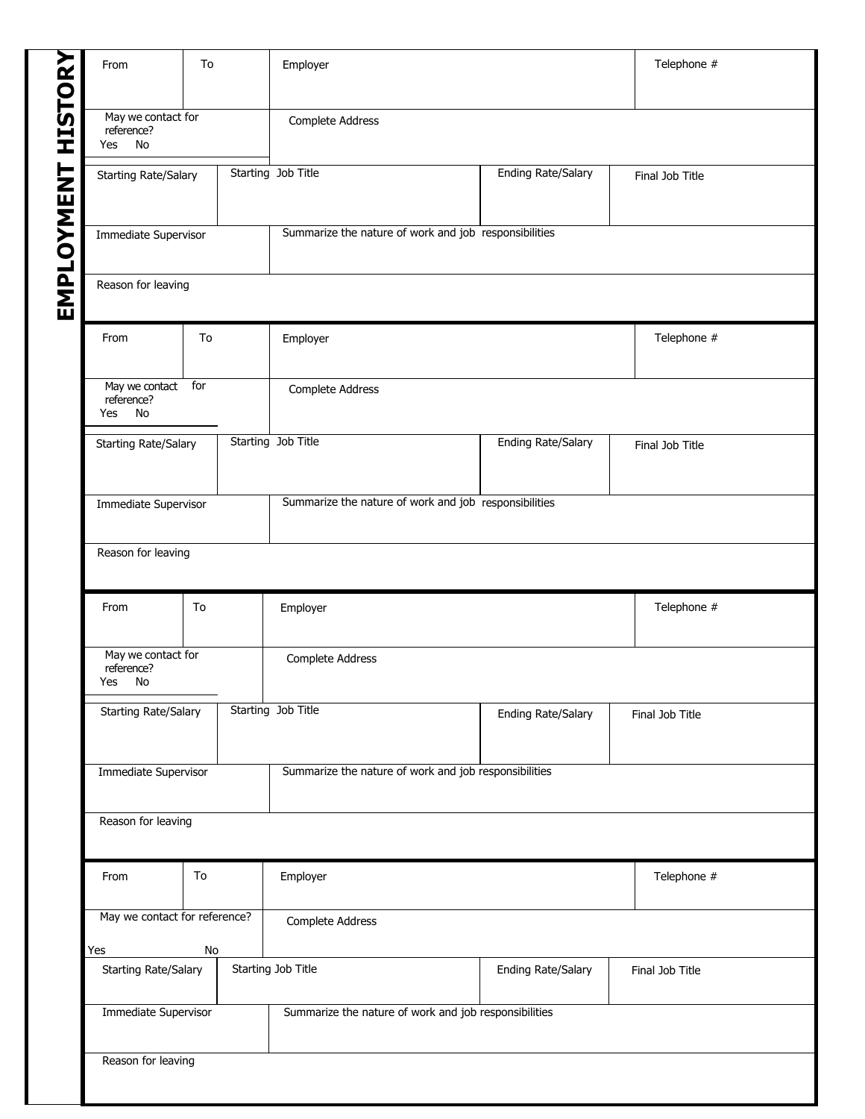| From                                       | To | Employer                                              |                           | Telephone #     |
|--------------------------------------------|----|-------------------------------------------------------|---------------------------|-----------------|
| May we contact for<br>reference?<br>Yes No |    | Complete Address                                      |                           |                 |
| <b>Starting Rate/Salary</b>                |    | Starting Job Title                                    | <b>Ending Rate/Salary</b> | Final Job Title |
| Immediate Supervisor                       |    | Summarize the nature of work and job responsibilities |                           |                 |
| Reason for leaving                         |    |                                                       |                           |                 |
| From                                       | To | Employer                                              |                           | Telephone #     |
| May we contact for<br>reference?<br>Yes No |    | Complete Address                                      |                           |                 |
| Starting Rate/Salary                       |    | Starting Job Title                                    | <b>Ending Rate/Salary</b> | Final Job Title |
| Immediate Supervisor                       |    | Summarize the nature of work and job responsibilities |                           |                 |
| Reason for leaving                         |    |                                                       |                           |                 |
| From                                       | To | Employer                                              |                           | Telephone #     |
| May we contact for<br>reference?           |    | Complete Address                                      |                           |                 |
| <b>No</b><br>Yes                           |    | Starting Job Title                                    | <b>Ending Rate/Salary</b> | Final Job Title |
| Starting Rate/Salary                       |    |                                                       |                           |                 |
| Immediate Supervisor                       |    | Summarize the nature of work and job responsibilities |                           |                 |
| Reason for leaving                         |    |                                                       |                           |                 |
| From                                       | To | Employer                                              |                           | Telephone #     |
| May we contact for reference?<br>Yes       | No | Complete Address                                      |                           |                 |
| Starting Rate/Salary                       |    | Starting Job Title                                    | Ending Rate/Salary        | Final Job Title |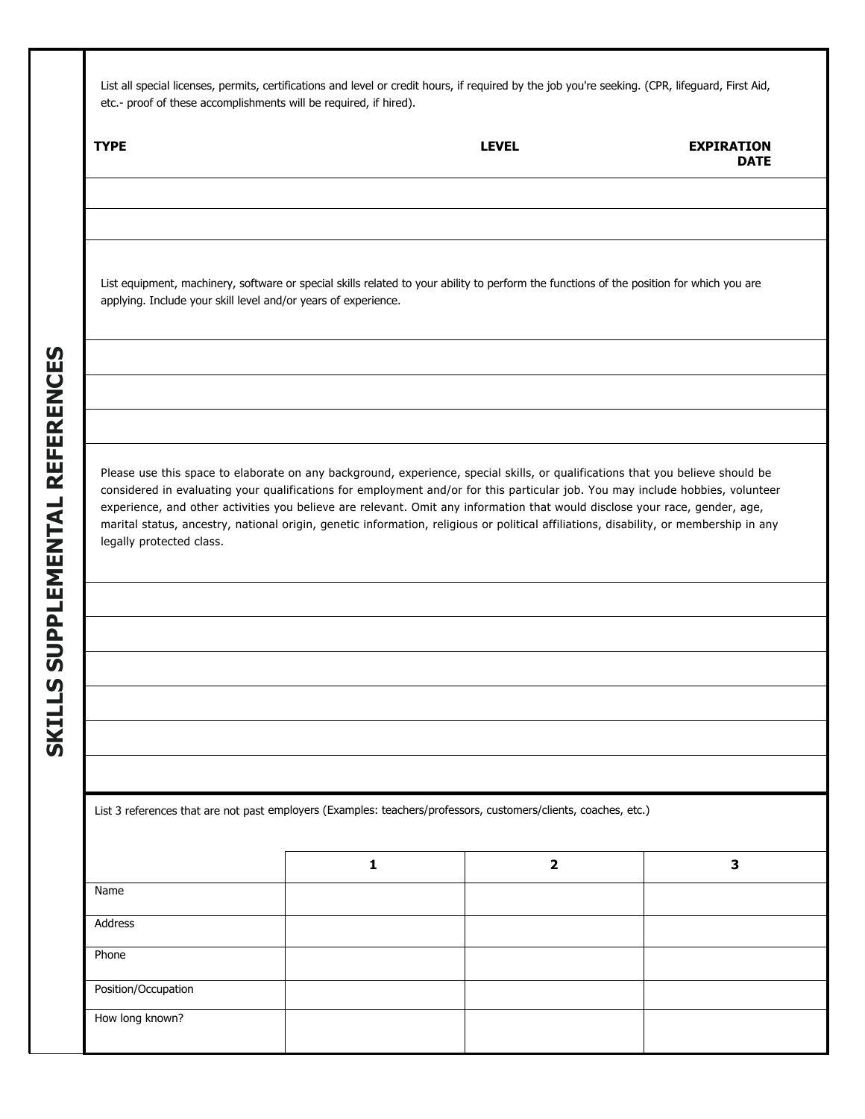List all special licenses, permits, certifications and level or credit hours, if required by the job you're seeking. (CPR, lifeguard, First Aid, etc.- proof of these accomplishments will be required, if hired).

| <b>TYPE</b>              |                                                                                                                                                                                                                                                                                                                                                                                                                                                                                                                                          | <b>LEVEL</b> | <b>EXPIRATION</b><br><b>DATE</b> |
|--------------------------|------------------------------------------------------------------------------------------------------------------------------------------------------------------------------------------------------------------------------------------------------------------------------------------------------------------------------------------------------------------------------------------------------------------------------------------------------------------------------------------------------------------------------------------|--------------|----------------------------------|
|                          | List equipment, machinery, software or special skills related to your ability to perform the functions of the position for which you are<br>applying. Include your skill level and/or years of experience.                                                                                                                                                                                                                                                                                                                               |              |                                  |
| legally protected class. | Please use this space to elaborate on any background, experience, special skills, or qualifications that you believe should be<br>considered in evaluating your qualifications for employment and/or for this particular job. You may include hobbies, volunteer<br>experience, and other activities you believe are relevant. Omit any information that would disclose your race, gender, age,<br>marital status, ancestry, national origin, genetic information, religious or political affiliations, disability, or membership in any |              |                                  |
|                          | List 3 references that are not past employers (Examples: teachers/professors, customers/clients, coaches, etc.)                                                                                                                                                                                                                                                                                                                                                                                                                          |              |                                  |
| Name                     | 1                                                                                                                                                                                                                                                                                                                                                                                                                                                                                                                                        | $\mathbf 2$  | $\mathbf{3}$                     |
| Address                  |                                                                                                                                                                                                                                                                                                                                                                                                                                                                                                                                          |              |                                  |
| Phone                    |                                                                                                                                                                                                                                                                                                                                                                                                                                                                                                                                          |              |                                  |
| Position/Occupation      |                                                                                                                                                                                                                                                                                                                                                                                                                                                                                                                                          |              |                                  |
| How long known?          |                                                                                                                                                                                                                                                                                                                                                                                                                                                                                                                                          |              |                                  |